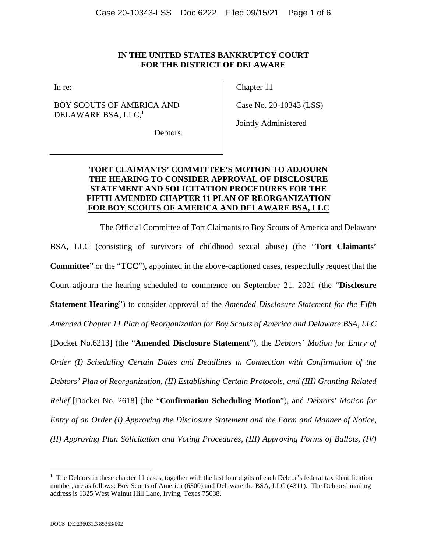### **IN THE UNITED STATES BANKRUPTCY COURT FOR THE DISTRICT OF DELAWARE**

In re:

# BOY SCOUTS OF AMERICA AND DELAWARE BSA, LLC,<sup>1</sup>

Chapter 11

Case No. 20-10343 (LSS)

Jointly Administered

Debtors.

# **TORT CLAIMANTS' COMMITTEE'S MOTION TO ADJOURN THE HEARING TO CONSIDER APPROVAL OF DISCLOSURE STATEMENT AND SOLICITATION PROCEDURES FOR THE FIFTH AMENDED CHAPTER 11 PLAN OF REORGANIZATION FOR BOY SCOUTS OF AMERICA AND DELAWARE BSA, LLC**

The Official Committee of Tort Claimants to Boy Scouts of America and Delaware

BSA, LLC (consisting of survivors of childhood sexual abuse) (the "**Tort Claimants' Committee**" or the "**TCC**"), appointed in the above-captioned cases, respectfully request that the Court adjourn the hearing scheduled to commence on September 21, 2021 (the "**Disclosure Statement Hearing**") to consider approval of the *Amended Disclosure Statement for the Fifth Amended Chapter 11 Plan of Reorganization for Boy Scouts of America and Delaware BSA, LLC* [Docket No.6213] (the "**Amended Disclosure Statement**"), the *Debtors' Motion for Entry of Order (I) Scheduling Certain Dates and Deadlines in Connection with Confirmation of the Debtors' Plan of Reorganization, (II) Establishing Certain Protocols, and (III) Granting Related Relief* [Docket No. 2618] (the "**Confirmation Scheduling Motion**"), and *Debtors' Motion for Entry of an Order (I) Approving the Disclosure Statement and the Form and Manner of Notice, (II) Approving Plan Solicitation and Voting Procedures, (III) Approving Forms of Ballots, (IV)* 

l

<sup>&</sup>lt;sup>1</sup> The Debtors in these chapter 11 cases, together with the last four digits of each Debtor's federal tax identification number, are as follows: Boy Scouts of America (6300) and Delaware the BSA, LLC (4311). The Debtors' mailing address is 1325 West Walnut Hill Lane, Irving, Texas 75038.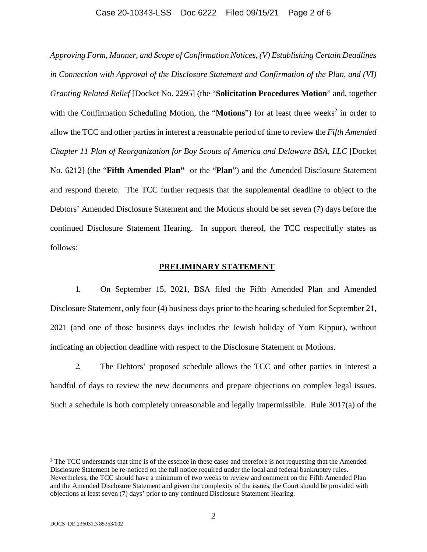#### Case 20-10343-LSS Doc 6222 Filed 09/15/21 Page 2 of 6

*Approving Form, Manner, and Scope of Confirmation Notices, (V) Establishing Certain Deadlines in Connection with Approval of the Disclosure Statement and Confirmation of the Plan, and (VI) Granting Related Relief* [Docket No. 2295] (the "**Solicitation Procedures Motion**" and, together with the Confirmation Scheduling Motion, the "Motions") for at least three weeks<sup>2</sup> in order to allow the TCC and other parties in interest a reasonable period of time to review the *Fifth Amended Chapter 11 Plan of Reorganization for Boy Scouts of America and Delaware BSA, LLC* [Docket No. 6212] (the "**Fifth Amended Plan"** or the "**Plan**") and the Amended Disclosure Statement and respond thereto. The TCC further requests that the supplemental deadline to object to the Debtors' Amended Disclosure Statement and the Motions should be set seven (7) days before the continued Disclosure Statement Hearing. In support thereof, the TCC respectfully states as follows:

#### **PRELIMINARY STATEMENT**

1. On September 15, 2021, BSA filed the Fifth Amended Plan and Amended Disclosure Statement, only four (4) business days prior to the hearing scheduled for September 21, 2021 (and one of those business days includes the Jewish holiday of Yom Kippur), without indicating an objection deadline with respect to the Disclosure Statement or Motions.

2. The Debtors' proposed schedule allows the TCC and other parties in interest a handful of days to review the new documents and prepare objections on complex legal issues. Such a schedule is both completely unreasonable and legally impermissible. Rule 3017(a) of the

l

<sup>&</sup>lt;sup>2</sup> The TCC understands that time is of the essence in these cases and therefore is not requesting that the Amended Disclosure Statement be re-noticed on the full notice required under the local and federal bankruptcy rules. Nevertheless, the TCC should have a minimum of two weeks to review and comment on the Fifth Amended Plan and the Amended Disclosure Statement and given the complexity of the issues, the Court should be provided with objections at least seven (7) days' prior to any continued Disclosure Statement Hearing.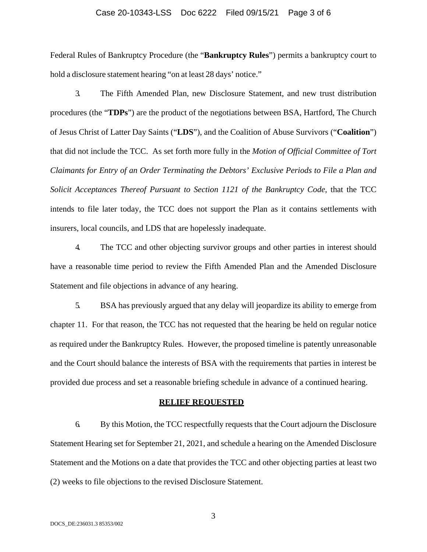### Case 20-10343-LSS Doc 6222 Filed 09/15/21 Page 3 of 6

Federal Rules of Bankruptcy Procedure (the "**Bankruptcy Rules**") permits a bankruptcy court to hold a disclosure statement hearing "on at least 28 days' notice."

3. The Fifth Amended Plan, new Disclosure Statement, and new trust distribution procedures (the "**TDPs**") are the product of the negotiations between BSA, Hartford, The Church of Jesus Christ of Latter Day Saints ("**LDS**"), and the Coalition of Abuse Survivors ("**Coalition**") that did not include the TCC. As set forth more fully in the *Motion of Official Committee of Tort Claimants for Entry of an Order Terminating the Debtors' Exclusive Periods to File a Plan and Solicit Acceptances Thereof Pursuant to Section 1121 of the Bankruptcy Code*, that the TCC intends to file later today, the TCC does not support the Plan as it contains settlements with insurers, local councils, and LDS that are hopelessly inadequate.

4. The TCC and other objecting survivor groups and other parties in interest should have a reasonable time period to review the Fifth Amended Plan and the Amended Disclosure Statement and file objections in advance of any hearing.

5. BSA has previously argued that any delay will jeopardize its ability to emerge from chapter 11. For that reason, the TCC has not requested that the hearing be held on regular notice as required under the Bankruptcy Rules. However, the proposed timeline is patently unreasonable and the Court should balance the interests of BSA with the requirements that parties in interest be provided due process and set a reasonable briefing schedule in advance of a continued hearing.

#### **RELIEF REQUESTED**

6. By this Motion, the TCC respectfully requests that the Court adjourn the Disclosure Statement Hearing set for September 21, 2021, and schedule a hearing on the Amended Disclosure Statement and the Motions on a date that provides the TCC and other objecting parties at least two (2) weeks to file objections to the revised Disclosure Statement.

3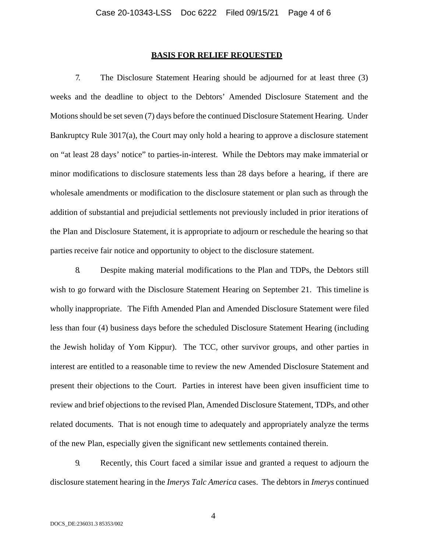#### **BASIS FOR RELIEF REQUESTED**

7. The Disclosure Statement Hearing should be adjourned for at least three (3) weeks and the deadline to object to the Debtors' Amended Disclosure Statement and the Motions should be set seven (7) days before the continued Disclosure Statement Hearing. Under Bankruptcy Rule 3017(a), the Court may only hold a hearing to approve a disclosure statement on "at least 28 days' notice" to parties-in-interest. While the Debtors may make immaterial or minor modifications to disclosure statements less than 28 days before a hearing, if there are wholesale amendments or modification to the disclosure statement or plan such as through the addition of substantial and prejudicial settlements not previously included in prior iterations of the Plan and Disclosure Statement, it is appropriate to adjourn or reschedule the hearing so that parties receive fair notice and opportunity to object to the disclosure statement.

8. Despite making material modifications to the Plan and TDPs, the Debtors still wish to go forward with the Disclosure Statement Hearing on September 21. This timeline is wholly inappropriate. The Fifth Amended Plan and Amended Disclosure Statement were filed less than four (4) business days before the scheduled Disclosure Statement Hearing (including the Jewish holiday of Yom Kippur). The TCC, other survivor groups, and other parties in interest are entitled to a reasonable time to review the new Amended Disclosure Statement and present their objections to the Court. Parties in interest have been given insufficient time to review and brief objections to the revised Plan, Amended Disclosure Statement, TDPs, and other related documents. That is not enough time to adequately and appropriately analyze the terms of the new Plan, especially given the significant new settlements contained therein.

9. Recently, this Court faced a similar issue and granted a request to adjourn the disclosure statement hearing in the *Imerys Talc America* cases. The debtors in *Imerys* continued

4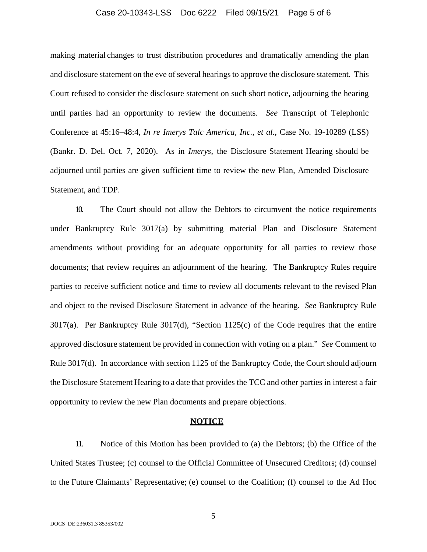### Case 20-10343-LSS Doc 6222 Filed 09/15/21 Page 5 of 6

making material changes to trust distribution procedures and dramatically amending the plan and disclosure statement on the eve of several hearings to approve the disclosure statement. This Court refused to consider the disclosure statement on such short notice, adjourning the hearing until parties had an opportunity to review the documents. *See* Transcript of Telephonic Conference at 45:16–48:4, *In re Imerys Talc America, Inc., et al.*, Case No. 19-10289 (LSS) (Bankr. D. Del. Oct. 7, 2020). As in *Imerys*, the Disclosure Statement Hearing should be adjourned until parties are given sufficient time to review the new Plan, Amended Disclosure Statement, and TDP.

10. The Court should not allow the Debtors to circumvent the notice requirements under Bankruptcy Rule 3017(a) by submitting material Plan and Disclosure Statement amendments without providing for an adequate opportunity for all parties to review those documents; that review requires an adjournment of the hearing. The Bankruptcy Rules require parties to receive sufficient notice and time to review all documents relevant to the revised Plan and object to the revised Disclosure Statement in advance of the hearing. *See* Bankruptcy Rule 3017(a). Per Bankruptcy Rule 3017(d), "Section 1125(c) of the Code requires that the entire approved disclosure statement be provided in connection with voting on a plan." *See* Comment to Rule 3017(d). In accordance with section 1125 of the Bankruptcy Code, the Court should adjourn the Disclosure Statement Hearing to a date that provides the TCC and other parties in interest a fair opportunity to review the new Plan documents and prepare objections.

#### **NOTICE**

11. Notice of this Motion has been provided to (a) the Debtors; (b) the Office of the United States Trustee; (c) counsel to the Official Committee of Unsecured Creditors; (d) counsel to the Future Claimants' Representative; (e) counsel to the Coalition; (f) counsel to the Ad Hoc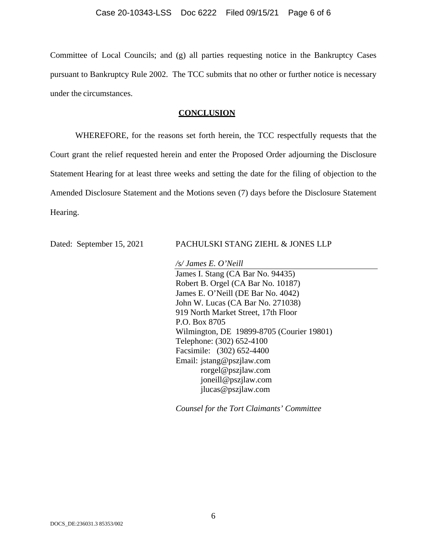Committee of Local Councils; and (g) all parties requesting notice in the Bankruptcy Cases pursuant to Bankruptcy Rule 2002. The TCC submits that no other or further notice is necessary under the circumstances.

#### **CONCLUSION**

WHEREFORE, for the reasons set forth herein, the TCC respectfully requests that the Court grant the relief requested herein and enter the Proposed Order adjourning the Disclosure Statement Hearing for at least three weeks and setting the date for the filing of objection to the Amended Disclosure Statement and the Motions seven (7) days before the Disclosure Statement Hearing.

#### Dated: September 15, 2021 PACHULSKI STANG ZIEHL & JONES LLP

*/s/ James E. O'Neill* 

James I. Stang (CA Bar No. 94435) Robert B. Orgel (CA Bar No. 10187) James E. O'Neill (DE Bar No. 4042) John W. Lucas (CA Bar No. 271038) 919 North Market Street, 17th Floor P.O. Box 8705 Wilmington, DE 19899-8705 (Courier 19801) Telephone: (302) 652-4100 Facsimile: (302) 652-4400 Email: jstang@pszjlaw.com rorgel@pszjlaw.com joneill@pszjlaw.com jlucas@pszjlaw.com

*Counsel for the Tort Claimants' Committee*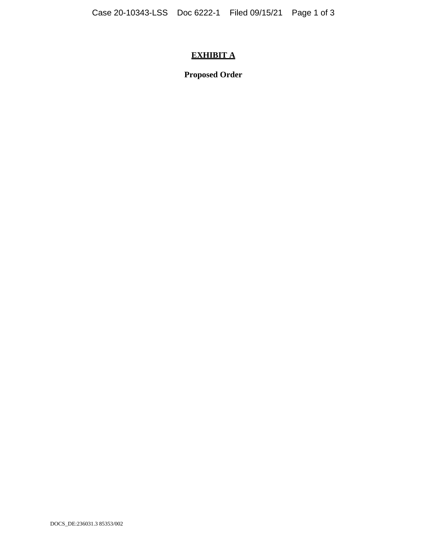# **EXHIBIT A**

**Proposed Order**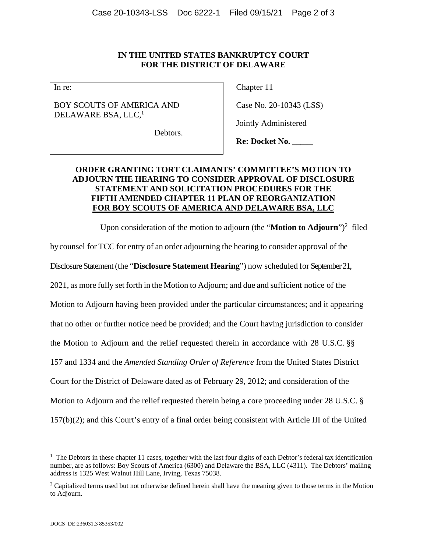### **IN THE UNITED STATES BANKRUPTCY COURT FOR THE DISTRICT OF DELAWARE**

In re:

### BOY SCOUTS OF AMERICA AND DELAWARE BSA, LLC,<sup>1</sup>

Chapter 11

Case No. 20-10343 (LSS)

Jointly Administered

Debtors.

**Re: Docket No. \_\_\_\_\_** 

# **ORDER GRANTING TORT CLAIMANTS' COMMITTEE'S MOTION TO ADJOURN THE HEARING TO CONSIDER APPROVAL OF DISCLOSURE STATEMENT AND SOLICITATION PROCEDURES FOR THE FIFTH AMENDED CHAPTER 11 PLAN OF REORGANIZATION FOR BOY SCOUTS OF AMERICA AND DELAWARE BSA, LLC**

Upon consideration of the motion to adjourn (the "**Motion to Adjourn**")<sup>2</sup> filed

by counsel for TCC for entry of an order adjourning the hearing to consider approval of the

Disclosure Statement (the "**Disclosure Statement Hearing**") now scheduled for September 21,

2021, as more fully set forth in the Motion to Adjourn; and due and sufficient notice of the

Motion to Adjourn having been provided under the particular circumstances; and it appearing

that no other or further notice need be provided; and the Court having jurisdiction to consider

the Motion to Adjourn and the relief requested therein in accordance with 28 U.S.C. §§

157 and 1334 and the *Amended Standing Order of Reference* from the United States District

Court for the District of Delaware dated as of February 29, 2012; and consideration of the

Motion to Adjourn and the relief requested therein being a core proceeding under 28 U.S.C. §

157(b)(2); and this Court's entry of a final order being consistent with Article III of the United

l

<sup>&</sup>lt;sup>1</sup> The Debtors in these chapter 11 cases, together with the last four digits of each Debtor's federal tax identification number, are as follows: Boy Scouts of America (6300) and Delaware the BSA, LLC (4311). The Debtors' mailing address is 1325 West Walnut Hill Lane, Irving, Texas 75038.

<sup>&</sup>lt;sup>2</sup> Capitalized terms used but not otherwise defined herein shall have the meaning given to those terms in the Motion to Adjourn.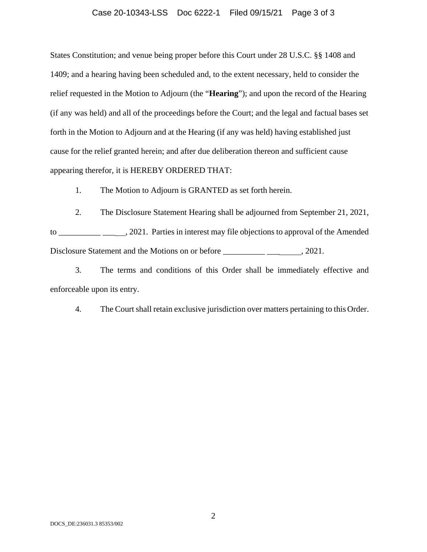#### Case 20-10343-LSS Doc 6222-1 Filed 09/15/21 Page 3 of 3

States Constitution; and venue being proper before this Court under 28 U.S.C. §§ 1408 and 1409; and a hearing having been scheduled and, to the extent necessary, held to consider the relief requested in the Motion to Adjourn (the "**Hearing**"); and upon the record of the Hearing (if any was held) and all of the proceedings before the Court; and the legal and factual bases set forth in the Motion to Adjourn and at the Hearing (if any was held) having established just cause for the relief granted herein; and after due deliberation thereon and sufficient cause appearing therefor, it is HEREBY ORDERED THAT:

1. The Motion to Adjourn is GRANTED as set forth herein.

2. The Disclosure Statement Hearing shall be adjourned from September 21, 2021, to \_\_\_\_\_\_\_\_\_\_ \_\_\_ , 2021. Parties in interest may file objections to approval of the Amended Disclosure Statement and the Motions on or before \_\_\_\_\_\_\_\_\_\_\_\_\_\_\_\_\_\_\_\_\_\_\_\_\_\_\_\_\_\_\_, 2021.

3. The terms and conditions of this Order shall be immediately effective and enforceable upon its entry.

4. The Court shall retain exclusive jurisdiction over matters pertaining to this Order.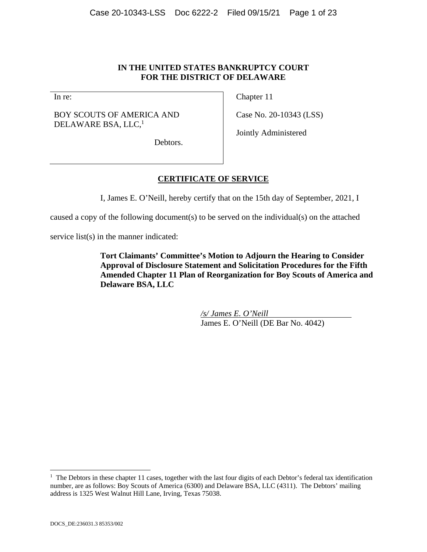### **IN THE UNITED STATES BANKRUPTCY COURT FOR THE DISTRICT OF DELAWARE**

In re:

BOY SCOUTS OF AMERICA AND DELAWARE BSA, LLC,<sup>1</sup>

Chapter 11

Case No. 20-10343 (LSS)

Jointly Administered

Debtors.

# **CERTIFICATE OF SERVICE**

I, James E. O'Neill, hereby certify that on the 15th day of September, 2021, I

caused a copy of the following document(s) to be served on the individual(s) on the attached

service list(s) in the manner indicated:

**Tort Claimants' Committee's Motion to Adjourn the Hearing to Consider Approval of Disclosure Statement and Solicitation Procedures for the Fifth Amended Chapter 11 Plan of Reorganization for Boy Scouts of America and Delaware BSA, LLC** 

> */s/ James E. O'Neill*  James E. O'Neill (DE Bar No. 4042)

l

<sup>&</sup>lt;sup>1</sup> The Debtors in these chapter 11 cases, together with the last four digits of each Debtor's federal tax identification number, are as follows: Boy Scouts of America (6300) and Delaware BSA, LLC (4311). The Debtors' mailing address is 1325 West Walnut Hill Lane, Irving, Texas 75038.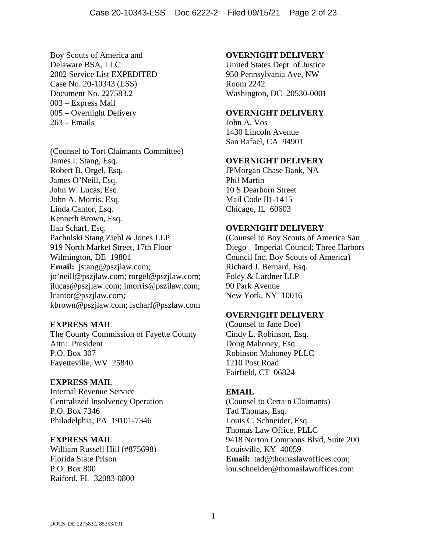Boy Scouts of America and Delaware BSA, LLC 2002 Service List EXPEDITED Case No. 20-10343 (LSS) Document No. 227583.2 003 – Express Mail 005 – Overnight Delivery 263 – Emails

(Counsel to Tort Claimants Committee) James I. Stang, Esq. Robert B. Orgel, Esq. James O'Neill, Esq. John W. Lucas, Esq. John A. Morris, Esq. Linda Cantor, Esq. Kenneth Brown, Esq. Ilan Scharf, Esq. Pachulski Stang Ziehl & Jones LLP 919 North Market Street, 17th Floor Wilmington, DE 19801 **Email:** jstang@pszjlaw.com; jo'neill@pszjlaw.com; rorgel@pszjlaw.com; jlucas@pszjlaw.com; jmorris@pszjlaw.com; lcantor@pszjlaw.com; kbrown@pszjlaw.com; ischarf@pszlaw.com

### **EXPRESS MAIL**

The County Commission of Fayette County Attn: President P.O. Box 307 Fayetteville, WV 25840

### **EXPRESS MAIL**

Internal Revenue Service Centralized Insolvency Operation P.O. Box 7346 Philadelphia, PA 19101-7346

### **EXPRESS MAIL**

William Russell Hill (#875698) Florida State Prison P.O. Box 800 Raiford, FL 32083-0800

#### **OVERNIGHT DELIVERY**

United States Dept. of Justice 950 Pennsylvania Ave, NW Room 2242 Washington, DC 20530-0001

#### **OVERNIGHT DELIVERY**

John A. Vos 1430 Lincoln Avenue San Rafael, CA 94901

### **OVERNIGHT DELIVERY**

JPMorgan Chase Bank, NA Phil Martin 10 S Dearborn Street Mail Code Il1-1415 Chicago, IL 60603

### **OVERNIGHT DELIVERY**

(Counsel to Boy Scouts of America San Diego – Imperial Council; Three Harbors Council Inc. Boy Scouts of America) Richard J. Bernard, Esq. Foley & Lardner LLP 90 Park Avenue New York, NY 10016

#### **OVERNIGHT DELIVERY**

(Counsel to Jane Doe) Cindy L. Robinson, Esq. Doug Mahoney, Esq. Robinson Mahoney PLLC 1210 Post Road Fairfield, CT 06824

#### **EMAIL**

(Counsel to Certain Claimants) Tad Thomas, Esq. Louis C. Schneider, Esq. Thomas Law Office, PLLC 9418 Norton Commons Blvd, Suite 200 Louisville, KY 40059 **Email:** tad@thomaslawoffices.com; lou.schneider@thomaslawoffices.com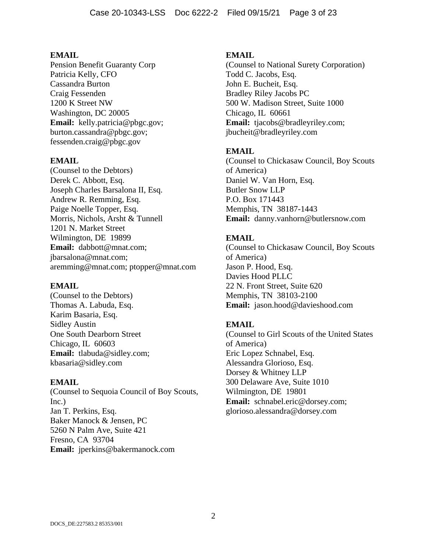Pension Benefit Guaranty Corp Patricia Kelly, CFO Cassandra Burton Craig Fessenden 1200 K Street NW Washington, DC 20005 **Email:** kelly.patricia@pbgc.gov; burton.cassandra@pbgc.gov; fessenden.craig@pbgc.gov

### **EMAIL**

(Counsel to the Debtors) Derek C. Abbott, Esq. Joseph Charles Barsalona II, Esq. Andrew R. Remming, Esq. Paige Noelle Topper, Esq. Morris, Nichols, Arsht & Tunnell 1201 N. Market Street Wilmington, DE 19899 **Email:** dabbott@mnat.com; jbarsalona@mnat.com; aremming@mnat.com; ptopper@mnat.com

#### **EMAIL**

(Counsel to the Debtors) Thomas A. Labuda, Esq. Karim Basaria, Esq. Sidley Austin One South Dearborn Street Chicago, IL 60603 **Email:** tlabuda@sidley.com; kbasaria@sidley.com

### **EMAIL**

(Counsel to Sequoia Council of Boy Scouts, Inc.) Jan T. Perkins, Esq. Baker Manock & Jensen, PC 5260 N Palm Ave, Suite 421 Fresno, CA 93704 **Email:** jperkins@bakermanock.com

### **EMAIL**

(Counsel to National Surety Corporation) Todd C. Jacobs, Esq. John E. Bucheit, Esq. Bradley Riley Jacobs PC 500 W. Madison Street, Suite 1000 Chicago, IL 60661 **Email:** tjacobs@bradleyriley.com; jbucheit@bradleyriley.com

### **EMAIL**

(Counsel to Chickasaw Council, Boy Scouts of America) Daniel W. Van Horn, Esq. Butler Snow LLP P.O. Box 171443 Memphis, TN 38187-1443 **Email:** danny.vanhorn@butlersnow.com

# **EMAIL**

(Counsel to Chickasaw Council, Boy Scouts of America) Jason P. Hood, Esq. Davies Hood PLLC 22 N. Front Street, Suite 620 Memphis, TN 38103-2100 **Email:** jason.hood@davieshood.com

### **EMAIL**

(Counsel to Girl Scouts of the United States of America) Eric Lopez Schnabel, Esq. Alessandra Glorioso, Esq. Dorsey & Whitney LLP 300 Delaware Ave, Suite 1010 Wilmington, DE 19801 **Email:** schnabel.eric@dorsey.com; glorioso.alessandra@dorsey.com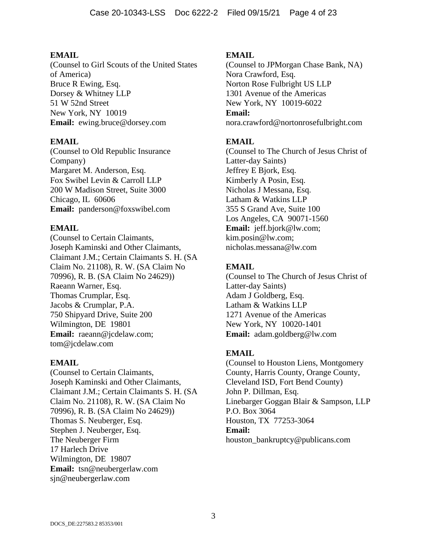(Counsel to Girl Scouts of the United States of America) Bruce R Ewing, Esq. Dorsey & Whitney LLP 51 W 52nd Street New York, NY 10019 **Email:** ewing.bruce@dorsey.com

# **EMAIL**

(Counsel to Old Republic Insurance Company) Margaret M. Anderson, Esq. Fox Swibel Levin & Carroll LLP 200 W Madison Street, Suite 3000 Chicago, IL 60606 **Email:** panderson@foxswibel.com

# **EMAIL**

(Counsel to Certain Claimants, Joseph Kaminski and Other Claimants, Claimant J.M.; Certain Claimants S. H. (SA Claim No. 21108), R. W. (SA Claim No 70996), R. B. (SA Claim No 24629)) Raeann Warner, Esq. Thomas Crumplar, Esq. Jacobs & Crumplar, P.A. 750 Shipyard Drive, Suite 200 Wilmington, DE 19801 **Email:** raeann@jcdelaw.com; tom@jcdelaw.com

### **EMAIL**

(Counsel to Certain Claimants, Joseph Kaminski and Other Claimants, Claimant J.M.; Certain Claimants S. H. (SA Claim No. 21108), R. W. (SA Claim No 70996), R. B. (SA Claim No 24629)) Thomas S. Neuberger, Esq. Stephen J. Neuberger, Esq. The Neuberger Firm 17 Harlech Drive Wilmington, DE 19807 **Email:** tsn@neubergerlaw.com sjn@neubergerlaw.com

# **EMAIL**

(Counsel to JPMorgan Chase Bank, NA) Nora Crawford, Esq. Norton Rose Fulbright US LLP 1301 Avenue of the Americas New York, NY 10019-6022 **Email:** nora.crawford@nortonrosefulbright.com

# **EMAIL**

(Counsel to The Church of Jesus Christ of Latter-day Saints) Jeffrey E Bjork, Esq. Kimberly A Posin, Esq. Nicholas J Messana, Esq. Latham & Watkins LLP 355 S Grand Ave, Suite 100 Los Angeles, CA 90071-1560 **Email:** jeff.bjork@lw.com; kim.posin@lw.com; nicholas.messana@lw.com

# **EMAIL**

(Counsel to The Church of Jesus Christ of Latter-day Saints) Adam J Goldberg, Esq. Latham & Watkins LLP 1271 Avenue of the Americas New York, NY 10020-1401 **Email:** adam.goldberg@lw.com

# **EMAIL**

(Counsel to Houston Liens, Montgomery County, Harris County, Orange County, Cleveland ISD, Fort Bend County) John P. Dillman, Esq. Linebarger Goggan Blair & Sampson, LLP P.O. Box 3064 Houston, TX 77253-3064 **Email:** houston\_bankruptcy@publicans.com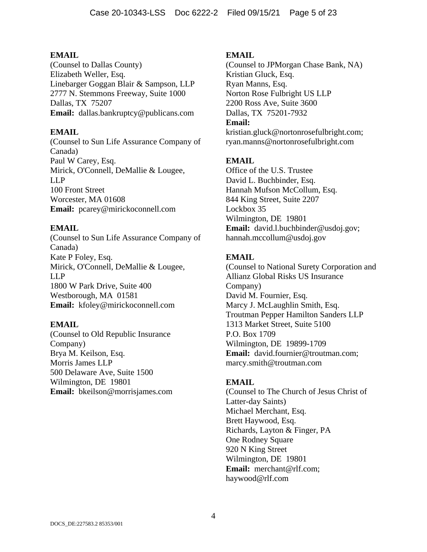(Counsel to Dallas County) Elizabeth Weller, Esq. Linebarger Goggan Blair & Sampson, LLP 2777 N. Stemmons Freeway, Suite 1000 Dallas, TX 75207 **Email:** dallas.bankruptcy@publicans.com

### **EMAIL**

(Counsel to Sun Life Assurance Company of Canada) Paul W Carey, Esq. Mirick, O'Connell, DeMallie & Lougee, LLP 100 Front Street Worcester, MA 01608 **Email:** pcarey@mirickoconnell.com

# **EMAIL**

(Counsel to Sun Life Assurance Company of Canada) Kate P Foley, Esq. Mirick, O'Connell, DeMallie & Lougee, LLP 1800 W Park Drive, Suite 400 Westborough, MA 01581 **Email:** kfoley@mirickoconnell.com

### **EMAIL**

(Counsel to Old Republic Insurance Company) Brya M. Keilson, Esq. Morris James LLP 500 Delaware Ave, Suite 1500 Wilmington, DE 19801 **Email:** bkeilson@morrisjames.com

### **EMAIL**

(Counsel to JPMorgan Chase Bank, NA) Kristian Gluck, Esq. Ryan Manns, Esq. Norton Rose Fulbright US LLP 2200 Ross Ave, Suite 3600 Dallas, TX 75201-7932 **Email:** kristian.gluck@nortonrosefulbright.com;

ryan.manns@nortonrosefulbright.com

# **EMAIL**

Office of the U.S. Trustee David L. Buchbinder, Esq. Hannah Mufson McCollum, Esq. 844 King Street, Suite 2207 Lockbox 35 Wilmington, DE 19801 **Email:** david.l.buchbinder@usdoj.gov; hannah.mccollum@usdoj.gov

# **EMAIL**

(Counsel to National Surety Corporation and Allianz Global Risks US Insurance Company) David M. Fournier, Esq. Marcy J. McLaughlin Smith, Esq. Troutman Pepper Hamilton Sanders LLP 1313 Market Street, Suite 5100 P.O. Box 1709 Wilmington, DE 19899-1709 **Email:** david.fournier@troutman.com; marcy.smith@troutman.com

### **EMAIL**

(Counsel to The Church of Jesus Christ of Latter-day Saints) Michael Merchant, Esq. Brett Haywood, Esq. Richards, Layton & Finger, PA One Rodney Square 920 N King Street Wilmington, DE 19801 **Email:** merchant@rlf.com; haywood@rlf.com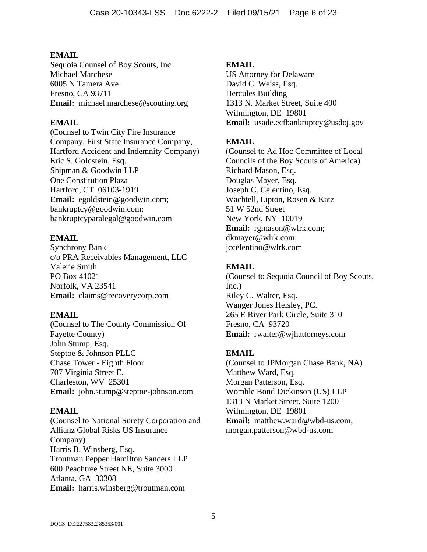Sequoia Counsel of Boy Scouts, Inc. Michael Marchese 6005 N Tamera Ave Fresno, CA 93711 **Email:** michael.marchese@scouting.org

# **EMAIL**

(Counsel to Twin City Fire Insurance Company, First State Insurance Company, Hartford Accident and Indemnity Company) Eric S. Goldstein, Esq. Shipman & Goodwin LLP One Constitution Plaza Hartford, CT 06103-1919 **Email:** egoldstein@goodwin.com; bankruptcy@goodwin.com; bankruptcyparalegal@goodwin.com

# **EMAIL**

Synchrony Bank c/o PRA Receivables Management, LLC Valerie Smith PO Box 41021 Norfolk, VA 23541 **Email:** claims@recoverycorp.com

# **EMAIL**

(Counsel to The County Commission Of Fayette County) John Stump, Esq. Steptoe & Johnson PLLC Chase Tower - Eighth Floor 707 Virginia Street E. Charleston, WV 25301 **Email:** john.stump@steptoe-johnson.com

# **EMAIL**

(Counsel to National Surety Corporation and Allianz Global Risks US Insurance Company) Harris B. Winsberg, Esq. Troutman Pepper Hamilton Sanders LLP 600 Peachtree Street NE, Suite 3000 Atlanta, GA 30308 **Email:** harris.winsberg@troutman.com

# **EMAIL**

US Attorney for Delaware David C. Weiss, Esq. Hercules Building 1313 N. Market Street, Suite 400 Wilmington, DE 19801 **Email:** usade.ecfbankruptcy@usdoj.gov

# **EMAIL**

(Counsel to Ad Hoc Committee of Local Councils of the Boy Scouts of America) Richard Mason, Esq. Douglas Mayer, Esq. Joseph C. Celentino, Esq. Wachtell, Lipton, Rosen & Katz 51 W 52nd Street New York, NY 10019 **Email:** rgmason@wlrk.com; dkmayer@wlrk.com; jccelentino@wlrk.com

# **EMAIL**

(Counsel to Sequoia Council of Boy Scouts, Inc.) Riley C. Walter, Esq. Wanger Jones Helsley, PC. 265 E River Park Circle, Suite 310 Fresno, CA 93720 **Email:** rwalter@wjhattorneys.com

# **EMAIL**

(Counsel to JPMorgan Chase Bank, NA) Matthew Ward, Esq. Morgan Patterson, Esq. Womble Bond Dickinson (US) LLP 1313 N Market Street, Suite 1200 Wilmington, DE 19801 **Email:** matthew.ward@wbd-us.com; morgan.patterson@wbd-us.com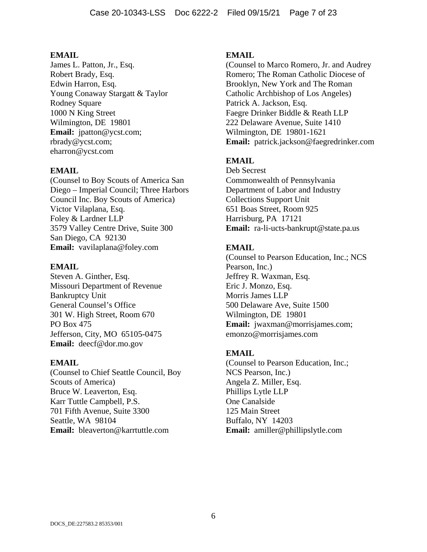James L. Patton, Jr., Esq. Robert Brady, Esq. Edwin Harron, Esq. Young Conaway Stargatt & Taylor Rodney Square 1000 N King Street Wilmington, DE 19801 **Email:** jpatton@ycst.com; rbrady@ycst.com; eharron@ycst.com

# **EMAIL**

(Counsel to Boy Scouts of America San Diego – Imperial Council; Three Harbors Council Inc. Boy Scouts of America) Victor Vilaplana, Esq. Foley & Lardner LLP 3579 Valley Centre Drive, Suite 300 San Diego, CA 92130 **Email:** vavilaplana@foley.com

### **EMAIL**

Steven A. Ginther, Esq. Missouri Department of Revenue Bankruptcy Unit General Counsel's Office 301 W. High Street, Room 670 PO Box 475 Jefferson, City, MO 65105-0475 **Email:** deecf@dor.mo.gov

### **EMAIL**

(Counsel to Chief Seattle Council, Boy Scouts of America) Bruce W. Leaverton, Esq. Karr Tuttle Campbell, P.S. 701 Fifth Avenue, Suite 3300 Seattle, WA 98104 **Email:** bleaverton@karrtuttle.com

### **EMAIL**

(Counsel to Marco Romero, Jr. and Audrey Romero; The Roman Catholic Diocese of Brooklyn, New York and The Roman Catholic Archbishop of Los Angeles) Patrick A. Jackson, Esq. Faegre Drinker Biddle & Reath LLP 222 Delaware Avenue, Suite 1410 Wilmington, DE 19801-1621 **Email:** patrick.jackson@faegredrinker.com

# **EMAIL**

Deb Secrest Commonwealth of Pennsylvania Department of Labor and Industry Collections Support Unit 651 Boas Street, Room 925 Harrisburg, PA 17121 **Email:** ra-li-ucts-bankrupt@state.pa.us

# **EMAIL**

(Counsel to Pearson Education, Inc.; NCS Pearson, Inc.) Jeffrey R. Waxman, Esq. Eric J. Monzo, Esq. Morris James LLP 500 Delaware Ave, Suite 1500 Wilmington, DE 19801 **Email:** jwaxman@morrisjames.com; emonzo@morrisjames.com

### **EMAIL**

(Counsel to Pearson Education, Inc.; NCS Pearson, Inc.) Angela Z. Miller, Esq. Phillips Lytle LLP One Canalside 125 Main Street Buffalo, NY 14203 **Email:** amiller@phillipslytle.com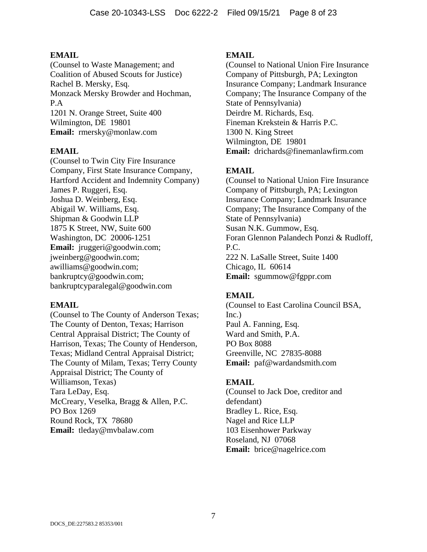(Counsel to Waste Management; and Coalition of Abused Scouts for Justice) Rachel B. Mersky, Esq. Monzack Mersky Browder and Hochman, P.A 1201 N. Orange Street, Suite 400 Wilmington, DE 19801 **Email:** rmersky@monlaw.com

### **EMAIL**

(Counsel to Twin City Fire Insurance Company, First State Insurance Company, Hartford Accident and Indemnity Company) James P. Ruggeri, Esq. Joshua D. Weinberg, Esq. Abigail W. Williams, Esq. Shipman & Goodwin LLP 1875 K Street, NW, Suite 600 Washington, DC 20006-1251 **Email:** jruggeri@goodwin.com; jweinberg@goodwin.com; awilliams@goodwin.com; bankruptcy@goodwin.com; bankruptcyparalegal@goodwin.com

### **EMAIL**

(Counsel to The County of Anderson Texas; The County of Denton, Texas; Harrison Central Appraisal District; The County of Harrison, Texas; The County of Henderson, Texas; Midland Central Appraisal District; The County of Milam, Texas; Terry County Appraisal District; The County of Williamson, Texas) Tara LeDay, Esq. McCreary, Veselka, Bragg & Allen, P.C. PO Box 1269 Round Rock, TX 78680 **Email:** tleday@mvbalaw.com

### **EMAIL**

(Counsel to National Union Fire Insurance Company of Pittsburgh, PA; Lexington Insurance Company; Landmark Insurance Company; The Insurance Company of the State of Pennsylvania) Deirdre M. Richards, Esq. Fineman Krekstein & Harris P.C. 1300 N. King Street Wilmington, DE 19801 **Email:** drichards@finemanlawfirm.com

# **EMAIL**

(Counsel to National Union Fire Insurance Company of Pittsburgh, PA; Lexington Insurance Company; Landmark Insurance Company; The Insurance Company of the State of Pennsylvania) Susan N.K. Gummow, Esq. Foran Glennon Palandech Ponzi & Rudloff, P.C. 222 N. LaSalle Street, Suite 1400 Chicago, IL 60614 **Email:** sgummow@fgppr.com

# **EMAIL**

(Counsel to East Carolina Council BSA, Inc.) Paul A. Fanning, Esq. Ward and Smith, P.A. PO Box 8088 Greenville, NC 27835-8088 **Email:** paf@wardandsmith.com

### **EMAIL**

(Counsel to Jack Doe, creditor and defendant) Bradley L. Rice, Esq. Nagel and Rice LLP 103 Eisenhower Parkway Roseland, NJ 07068 **Email:** brice@nagelrice.com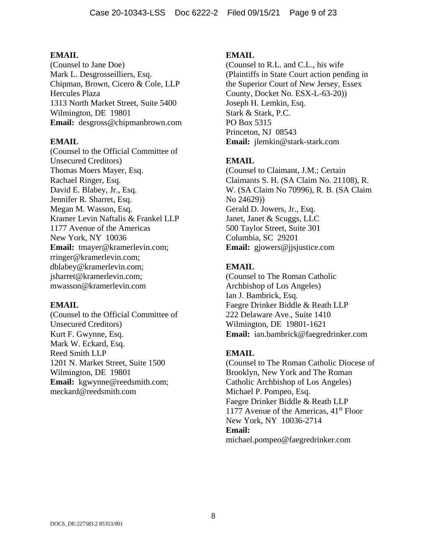(Counsel to Jane Doe) Mark L. Desgrosseilliers, Esq. Chipman, Brown, Cicero & Cole, LLP Hercules Plaza 1313 North Market Street, Suite 5400 Wilmington, DE 19801 **Email:** desgross@chipmanbrown.com

#### **EMAIL**

(Counsel to the Official Committee of Unsecured Creditors) Thomas Moers Mayer, Esq. Rachael Ringer, Esq. David E. Blabey, Jr., Esq. Jennifer R. Sharret, Esq. Megan M. Wasson, Esq. Kramer Levin Naftalis & Frankel LLP 1177 Avenue of the Americas New York, NY 10036 **Email:** tmayer@kramerlevin.com; rringer@kramerlevin.com; dblabey@kramerlevin.com; jsharret@kramerlevin.com; mwasson@kramerlevin.com

#### **EMAIL**

(Counsel to the Official Committee of Unsecured Creditors) Kurt F. Gwynne, Esq. Mark W. Eckard, Esq. Reed Smith LLP 1201 N. Market Street, Suite 1500 Wilmington, DE 19801 **Email:** kgwynne@reedsmith.com; meckard@reedsmith.com

#### **EMAIL**

(Counsel to R.L. and C.L., his wife (Plaintiffs in State Court action pending in the Superior Court of New Jersey, Essex County, Docket No. ESX-L-63-20)) Joseph H. Lemkin, Esq. Stark & Stark, P.C. PO Box 5315 Princeton, NJ 08543 **Email:** jlemkin@stark-stark.com

### **EMAIL**

(Counsel to Claimant, J.M.; Certain Claimants S. H. (SA Claim No. 21108), R. W. (SA Claim No 70996), R. B. (SA Claim No 24629)) Gerald D. Jowers, Jr., Esq. Janet, Janet & Scuggs, LLC 500 Taylor Street, Suite 301 Columbia, SC 29201 **Email:** gjowers@jjsjustice.com

#### **EMAIL**

(Counsel to The Roman Catholic Archbishop of Los Angeles) Ian J. Bambrick, Esq. Faegre Drinker Biddle & Reath LLP 222 Delaware Ave., Suite 1410 Wilmington, DE 19801-1621 **Email:** ian.bambrick@faegredrinker.com

#### **EMAIL**

(Counsel to The Roman Catholic Diocese of Brooklyn, New York and The Roman Catholic Archbishop of Los Angeles) Michael P. Pompeo, Esq. Faegre Drinker Biddle & Reath LLP 1177 Avenue of the Americas,  $41<sup>st</sup>$  Floor New York, NY 10036-2714 **Email:** michael.pompeo@faegredrinker.com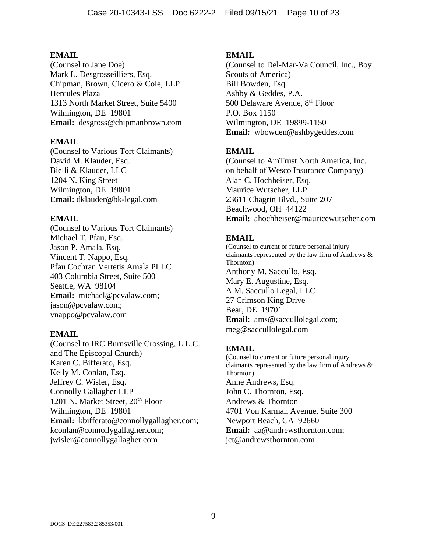(Counsel to Jane Doe) Mark L. Desgrosseilliers, Esq. Chipman, Brown, Cicero & Cole, LLP Hercules Plaza 1313 North Market Street, Suite 5400 Wilmington, DE 19801 **Email:** desgross@chipmanbrown.com

### **EMAIL**

(Counsel to Various Tort Claimants) David M. Klauder, Esq. Bielli & Klauder, LLC 1204 N. King Street Wilmington, DE 19801 **Email:** dklauder@bk-legal.com

# **EMAIL**

(Counsel to Various Tort Claimants) Michael T. Pfau, Esq. Jason P. Amala, Esq. Vincent T. Nappo, Esq. Pfau Cochran Vertetis Amala PLLC 403 Columbia Street, Suite 500 Seattle, WA 98104 **Email:** michael@pcvalaw.com; jason@pcvalaw.com; vnappo@pcvalaw.com

### **EMAIL**

(Counsel to IRC Burnsville Crossing, L.L.C. and The Episcopal Church) Karen C. Bifferato, Esq. Kelly M. Conlan, Esq. Jeffrey C. Wisler, Esq. Connolly Gallagher LLP 1201 N. Market Street, 20<sup>th</sup> Floor Wilmington, DE 19801 **Email:** kbifferato@connollygallagher.com; kconlan@connollygallagher.com; jwisler@connollygallagher.com

# **EMAIL**

(Counsel to Del-Mar-Va Council, Inc., Boy Scouts of America) Bill Bowden, Esq. Ashby & Geddes, P.A. 500 Delaware Avenue, 8<sup>th</sup> Floor P.O. Box 1150 Wilmington, DE 19899-1150 **Email:** wbowden@ashbygeddes.com

# **EMAIL**

(Counsel to AmTrust North America, Inc. on behalf of Wesco Insurance Company) Alan C. Hochheiser, Esq. Maurice Wutscher, LLP 23611 Chagrin Blvd., Suite 207 Beachwood, OH 44122 **Email:** ahochheiser@mauricewutscher.com

# **EMAIL**

(Counsel to current or future personal injury claimants represented by the law firm of Andrews & Thornton) Anthony M. Saccullo, Esq. Mary E. Augustine, Esq. A.M. Saccullo Legal, LLC 27 Crimson King Drive Bear, DE 19701 **Email:** ams@saccullolegal.com; meg@saccullolegal.com

# **EMAIL**

(Counsel to current or future personal injury claimants represented by the law firm of Andrews & Thornton) Anne Andrews, Esq. John C. Thornton, Esq. Andrews & Thornton 4701 Von Karman Avenue, Suite 300 Newport Beach, CA 92660 **Email:** aa@andrewsthornton.com; jct@andrewsthornton.com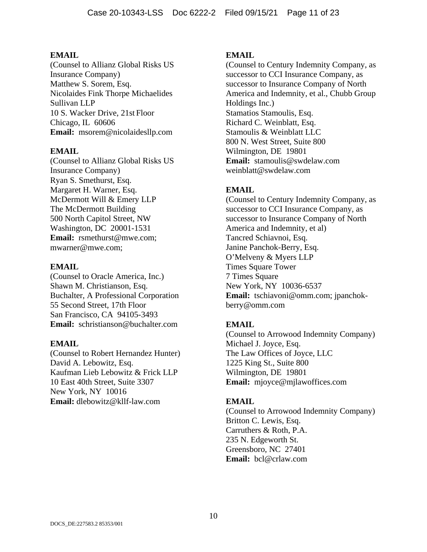(Counsel to Allianz Global Risks US Insurance Company) Matthew S. Sorem, Esq. Nicolaides Fink Thorpe Michaelides Sullivan LLP 10 S. Wacker Drive, 21st Floor Chicago, IL 60606 **Email:** msorem@nicolaidesllp.com

### **EMAIL**

(Counsel to Allianz Global Risks US Insurance Company) Ryan S. Smethurst, Esq. Margaret H. Warner, Esq. McDermott Will & Emery LLP The McDermott Building 500 North Capitol Street, NW Washington, DC 20001-1531 **Email:** rsmethurst@mwe.com; mwarner@mwe.com;

### **EMAIL**

(Counsel to Oracle America, Inc.) Shawn M. Christianson, Esq. Buchalter, A Professional Corporation 55 Second Street, 17th Floor San Francisco, CA 94105-3493 **Email:** schristianson@buchalter.com

### **EMAIL**

(Counsel to Robert Hernandez Hunter) David A. Lebowitz, Esq. Kaufman Lieb Lebowitz & Frick LLP 10 East 40th Street, Suite 3307 New York, NY 10016 **Email:** dlebowitz@kllf-law.com

### **EMAIL**

(Counsel to Century Indemnity Company, as successor to CCI Insurance Company, as successor to Insurance Company of North America and Indemnity, et al., Chubb Group Holdings Inc.) Stamatios Stamoulis, Esq. Richard C. Weinblatt, Esq. Stamoulis & Weinblatt LLC 800 N. West Street, Suite 800 Wilmington, DE 19801 **Email:** stamoulis@swdelaw.com weinblatt@swdelaw.com

# **EMAIL**

(Counsel to Century Indemnity Company, as successor to CCI Insurance Company, as successor to Insurance Company of North America and Indemnity, et al) Tancred Schiavnoi, Esq. Janine Panchok-Berry, Esq. O'Melveny & Myers LLP Times Square Tower 7 Times Square New York, NY 10036-6537 **Email:** tschiavoni@omm.com; jpanchokberry@omm.com

# **EMAIL**

(Counsel to Arrowood Indemnity Company) Michael J. Joyce, Esq. The Law Offices of Joyce, LLC 1225 King St., Suite 800 Wilmington, DE 19801 **Email:** mjoyce@mjlawoffices.com

### **EMAIL**

(Counsel to Arrowood Indemnity Company) Britton C. Lewis, Esq. Carruthers & Roth, P.A. 235 N. Edgeworth St. Greensboro, NC 27401 **Email:** bcl@crlaw.com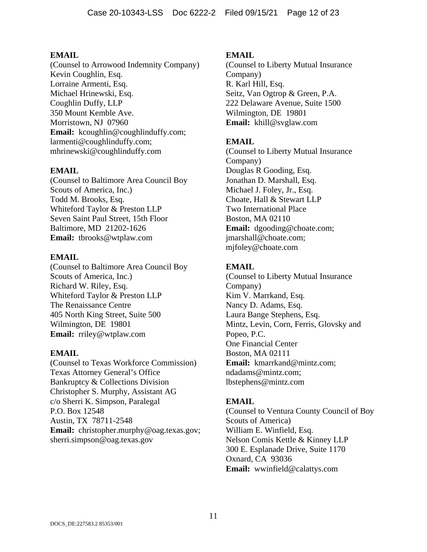(Counsel to Arrowood Indemnity Company) Kevin Coughlin, Esq. Lorraine Armenti, Esq. Michael Hrinewski, Esq. Coughlin Duffy, LLP 350 Mount Kemble Ave. Morristown, NJ 07960 Email: kcoughlin@coughlinduffy.com; larmenti@coughlinduffy.com; mhrinewski@coughlinduffy.com

# **EMAIL**

(Counsel to Baltimore Area Council Boy Scouts of America, Inc.) Todd M. Brooks, Esq. Whiteford Taylor & Preston LLP Seven Saint Paul Street, 15th Floor Baltimore, MD 21202-1626 **Email:** tbrooks@wtplaw.com

### **EMAIL**

(Counsel to Baltimore Area Council Boy Scouts of America, Inc.) Richard W. Riley, Esq. Whiteford Taylor & Preston LLP The Renaissance Centre 405 North King Street, Suite 500 Wilmington, DE 19801 **Email:** rriley@wtplaw.com

### **EMAIL**

(Counsel to Texas Workforce Commission) Texas Attorney General's Office Bankruptcy & Collections Division Christopher S. Murphy, Assistant AG c/o Sherri K. Simpson, Paralegal P.O. Box 12548 Austin, TX 78711-2548 **Email:** christopher.murphy@oag.texas.gov; sherri.simpson@oag.texas.gov

# **EMAIL**

(Counsel to Liberty Mutual Insurance Company) R. Karl Hill, Esq. Seitz, Van Ogtrop & Green, P.A. 222 Delaware Avenue, Suite 1500 Wilmington, DE 19801 **Email:** khill@svglaw.com

# **EMAIL**

(Counsel to Liberty Mutual Insurance Company) Douglas R Gooding, Esq. Jonathan D. Marshall, Esq. Michael J. Foley, Jr., Esq. Choate, Hall & Stewart LLP Two International Place Boston, MA 02110 **Email:** dgooding@choate.com; jmarshall@choate.com; mjfoley@choate.com

# **EMAIL**

(Counsel to Liberty Mutual Insurance Company) Kim V. Marrkand, Esq. Nancy D. Adams, Esq. Laura Bange Stephens, Esq. Mintz, Levin, Corn, Ferris, Glovsky and Popeo, P.C. One Financial Center Boston, MA 02111 **Email:** kmarrkand@mintz.com; ndadams@mintz.com; lbstephens@mintz.com

# **EMAIL**

(Counsel to Ventura County Council of Boy Scouts of America) William E. Winfield, Esq. Nelson Comis Kettle & Kinney LLP 300 E. Esplanade Drive, Suite 1170 Oxnard, CA 93036 **Email:** wwinfield@calattys.com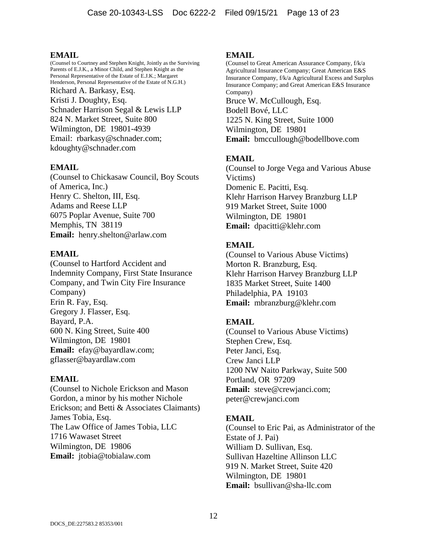(Counsel to Courtney and Stephen Knight, Jointly as the Surviving Parents of E.J.K., a Minor Child, and Stephen Knight as the Personal Representative of the Estate of E.J.K.; Margaret Henderson, Personal Representative of the Estate of N.G.H.) Richard A. Barkasy, Esq. Kristi J. Doughty, Esq. Schnader Harrison Segal & Lewis LLP 824 N. Market Street, Suite 800 Wilmington, DE 19801-4939 Email: rbarkasy@schnader.com; kdoughty@schnader.com

### **EMAIL**

(Counsel to Chickasaw Council, Boy Scouts of America, Inc.) Henry C. Shelton, III, Esq. Adams and Reese LLP 6075 Poplar Avenue, Suite 700 Memphis, TN 38119 **Email:** henry.shelton@arlaw.com

### **EMAIL**

(Counsel to Hartford Accident and Indemnity Company, First State Insurance Company, and Twin City Fire Insurance Company) Erin R. Fay, Esq. Gregory J. Flasser, Esq. Bayard, P.A. 600 N. King Street, Suite 400 Wilmington, DE 19801 **Email:** efay@bayardlaw.com; gflasser@bayardlaw.com

### **EMAIL**

(Counsel to Nichole Erickson and Mason Gordon, a minor by his mother Nichole Erickson; and Betti & Associates Claimants) James Tobia, Esq. The Law Office of James Tobia, LLC 1716 Wawaset Street Wilmington, DE 19806 **Email:** jtobia@tobialaw.com

#### **EMAIL**

(Counsel to Great American Assurance Company, f/k/a Agricultural Insurance Company; Great American E&S Insurance Company, f/k/a Agricultural Excess and Surplus Insurance Company; and Great American E&S Insurance Company) Bruce W. McCullough, Esq. Bodell Bové, LLC 1225 N. King Street, Suite 1000 Wilmington, DE 19801 **Email:** bmccullough@bodellbove.com

# **EMAIL**

(Counsel to Jorge Vega and Various Abuse Victims) Domenic E. Pacitti, Esq. Klehr Harrison Harvey Branzburg LLP 919 Market Street, Suite 1000 Wilmington, DE 19801 **Email:** dpacitti@klehr.com

### **EMAIL**

(Counsel to Various Abuse Victims) Morton R. Branzburg, Esq. Klehr Harrison Harvey Branzburg LLP 1835 Market Street, Suite 1400 Philadelphia, PA 19103 **Email:** mbranzburg@klehr.com

# **EMAIL**

(Counsel to Various Abuse Victims) Stephen Crew, Esq. Peter Janci, Esq. Crew Janci LLP 1200 NW Naito Parkway, Suite 500 Portland, OR 97209 **Email:** steve@crewjanci.com; peter@crewjanci.com

### **EMAIL**

(Counsel to Eric Pai, as Administrator of the Estate of J. Pai) William D. Sullivan, Esq. Sullivan Hazeltine Allinson LLC 919 N. Market Street, Suite 420 Wilmington, DE 19801 **Email:** bsullivan@sha-llc.com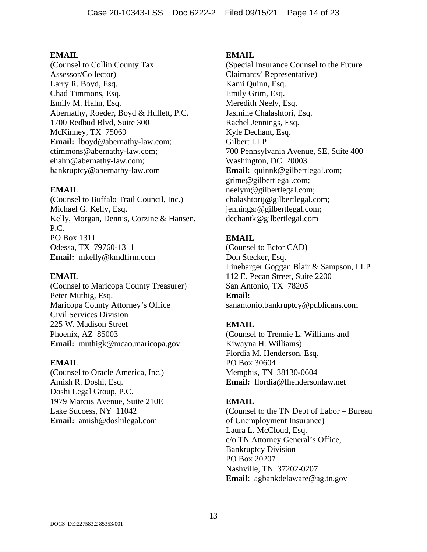(Counsel to Collin County Tax Assessor/Collector) Larry R. Boyd, Esq. Chad Timmons, Esq. Emily M. Hahn, Esq. Abernathy, Roeder, Boyd & Hullett, P.C. 1700 Redbud Blvd, Suite 300 McKinney, TX 75069 **Email:** lboyd@abernathy-law.com; ctimmons@abernathy-law.com; ehahn@abernathy-law.com; bankruptcy@abernathy-law.com

### **EMAIL**

(Counsel to Buffalo Trail Council, Inc.) Michael G. Kelly, Esq. Kelly, Morgan, Dennis, Corzine & Hansen, P.C. PO Box 1311 Odessa, TX 79760-1311 **Email:** mkelly@kmdfirm.com

### **EMAIL**

(Counsel to Maricopa County Treasurer) Peter Muthig, Esq. Maricopa County Attorney's Office Civil Services Division 225 W. Madison Street Phoenix, AZ 85003 **Email:** muthigk@mcao.maricopa.gov

### **EMAIL**

(Counsel to Oracle America, Inc.) Amish R. Doshi, Esq. Doshi Legal Group, P.C. 1979 Marcus Avenue, Suite 210E Lake Success, NY 11042 **Email:** amish@doshilegal.com

### **EMAIL**

(Special Insurance Counsel to the Future Claimants' Representative) Kami Quinn, Esq. Emily Grim, Esq. Meredith Neely, Esq. Jasmine Chalashtori, Esq. Rachel Jennings, Esq. Kyle Dechant, Esq. Gilbert LLP 700 Pennsylvania Avenue, SE, Suite 400 Washington, DC 20003 **Email:** quinnk@gilbertlegal.com; grime@gilbertlegal.com; neelym@gilbertlegal.com; chalashtorij@gilbertlegal.com; jenningsr@gilbertlegal.com; dechantk@gilbertlegal.com

# **EMAIL**

(Counsel to Ector CAD) Don Stecker, Esq. Linebarger Goggan Blair & Sampson, LLP 112 E. Pecan Street, Suite 2200 San Antonio, TX 78205 **Email:** sanantonio.bankruptcy@publicans.com

# **EMAIL**

(Counsel to Trennie L. Williams and Kiwayna H. Williams) Flordia M. Henderson, Esq. PO Box 30604 Memphis, TN 38130-0604 **Email:** flordia@fhendersonlaw.net

# **EMAIL**

(Counsel to the TN Dept of Labor – Bureau of Unemployment Insurance) Laura L. McCloud, Esq. c/o TN Attorney General's Office, Bankruptcy Division PO Box 20207 Nashville, TN 37202-0207 **Email:** agbankdelaware@ag.tn.gov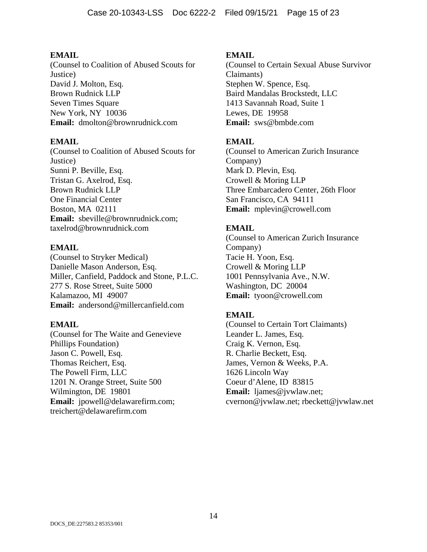(Counsel to Coalition of Abused Scouts for Justice) David J. Molton, Esq. Brown Rudnick LLP Seven Times Square New York, NY 10036 **Email:** dmolton@brownrudnick.com

# **EMAIL**

(Counsel to Coalition of Abused Scouts for Justice) Sunni P. Beville, Esq. Tristan G. Axelrod, Esq. Brown Rudnick LLP One Financial Center Boston, MA 02111 **Email:** sbeville@brownrudnick.com; taxelrod@brownrudnick.com

# **EMAIL**

(Counsel to Stryker Medical) Danielle Mason Anderson, Esq. Miller, Canfield, Paddock and Stone, P.L.C. 277 S. Rose Street, Suite 5000 Kalamazoo, MI 49007 **Email:** andersond@millercanfield.com

### **EMAIL**

(Counsel for The Waite and Genevieve Phillips Foundation) Jason C. Powell, Esq. Thomas Reichert, Esq. The Powell Firm, LLC 1201 N. Orange Street, Suite 500 Wilmington, DE 19801 **Email:** jpowell@delawarefirm.com; treichert@delawarefirm.com

# **EMAIL**

(Counsel to Certain Sexual Abuse Survivor Claimants) Stephen W. Spence, Esq. Baird Mandalas Brockstedt, LLC 1413 Savannah Road, Suite 1 Lewes, DE 19958 **Email:** sws@bmbde.com

# **EMAIL**

(Counsel to American Zurich Insurance Company) Mark D. Plevin, Esq. Crowell & Moring LLP Three Embarcadero Center, 26th Floor San Francisco, CA 94111 **Email:** mplevin@crowell.com

# **EMAIL**

(Counsel to American Zurich Insurance Company) Tacie H. Yoon, Esq. Crowell & Moring LLP 1001 Pennsylvania Ave., N.W. Washington, DC 20004 **Email:** tyoon@crowell.com

# **EMAIL**

(Counsel to Certain Tort Claimants) Leander L. James, Esq. Craig K. Vernon, Esq. R. Charlie Beckett, Esq. James, Vernon & Weeks, P.A. 1626 Lincoln Way Coeur d'Alene, ID 83815 **Email:** ljames@jvwlaw.net; cvernon@jvwlaw.net; rbeckett@jvwlaw.net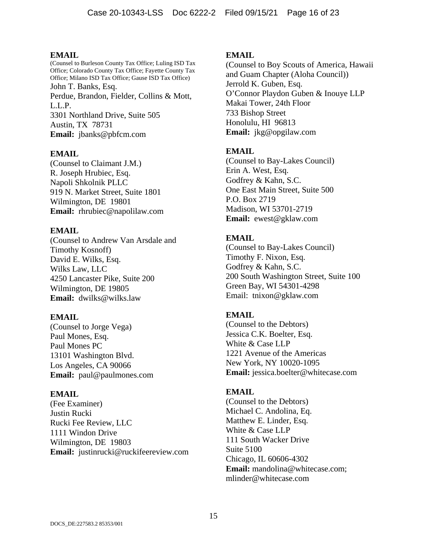(Counsel to Burleson County Tax Office; Luling ISD Tax Office; Colorado County Tax Office; Fayette County Tax Office; Milano ISD Tax Office; Gause ISD Tax Office) John T. Banks, Esq. Perdue, Brandon, Fielder, Collins & Mott, L.L.P. 3301 Northland Drive, Suite 505 Austin, TX 78731 **Email:** jbanks@pbfcm.com

# **EMAIL**

(Counsel to Claimant J.M.) R. Joseph Hrubiec, Esq. Napoli Shkolnik PLLC 919 N. Market Street, Suite 1801 Wilmington, DE 19801 **Email:** rhrubiec@napolilaw.com

# **EMAIL**

(Counsel to Andrew Van Arsdale and Timothy Kosnoff) David E. Wilks, Esq. Wilks Law, LLC 4250 Lancaster Pike, Suite 200 Wilmington, DE 19805 **Email:** dwilks@wilks.law

# **EMAIL**

(Counsel to Jorge Vega) Paul Mones, Esq. Paul Mones PC 13101 Washington Blvd. Los Angeles, CA 90066 **Email:** paul@paulmones.com

### **EMAIL**

(Fee Examiner) Justin Rucki Rucki Fee Review, LLC 1111 Windon Drive Wilmington, DE 19803 **Email:** justinrucki@ruckifeereview.com

# **EMAIL**

(Counsel to Boy Scouts of America, Hawaii and Guam Chapter (Aloha Council)) Jerrold K. Guben, Esq. O'Connor Playdon Guben & Inouye LLP Makai Tower, 24th Floor 733 Bishop Street Honolulu, HI 96813 **Email:** jkg@opgilaw.com

# **EMAIL**

(Counsel to Bay-Lakes Council) Erin A. West, Esq. Godfrey & Kahn, S.C. One East Main Street, Suite 500 P.O. Box 2719 Madison, WI 53701-2719 **Email:** ewest@gklaw.com

# **EMAIL**

(Counsel to Bay-Lakes Council) Timothy F. Nixon, Esq. Godfrey & Kahn, S.C. 200 South Washington Street, Suite 100 Green Bay, WI 54301-4298 Email: tnixon@gklaw.com

# **EMAIL**

(Counsel to the Debtors) Jessica C.K. Boelter, Esq. White & Case LLP 1221 Avenue of the Americas New York, NY 10020-1095 **Email:** jessica.boelter@whitecase.com

# **EMAIL**

(Counsel to the Debtors) Michael C. Andolina, Eq. Matthew E. Linder, Esq. White & Case LLP 111 South Wacker Drive Suite 5100 Chicago, IL 60606-4302 **Email:** mandolina@whitecase.com; mlinder@whitecase.com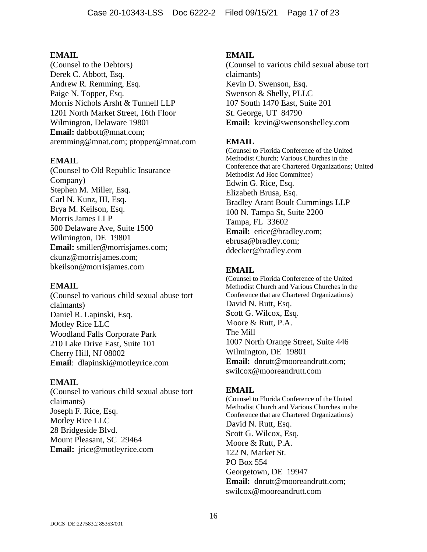(Counsel to the Debtors) Derek C. Abbott, Esq. Andrew R. Remming, Esq. Paige N. Topper, Esq. Morris Nichols Arsht & Tunnell LLP 1201 North Market Street, 16th Floor Wilmington, Delaware 19801 **Email:** dabbott@mnat.com; aremming@mnat.com; ptopper@mnat.com

# **EMAIL**

(Counsel to Old Republic Insurance Company) Stephen M. Miller, Esq. Carl N. Kunz, III, Esq. Brya M. Keilson, Esq. Morris James LLP 500 Delaware Ave, Suite 1500 Wilmington, DE 19801 **Email:** smiller@morrisjames.com; ckunz@morrisjames.com; bkeilson@morrisjames.com

### **EMAIL**

(Counsel to various child sexual abuse tort claimants) Daniel R. Lapinski, Esq. Motley Rice LLC Woodland Falls Corporate Park 210 Lake Drive East, Suite 101 Cherry Hill, NJ 08002 **Email**: dlapinski@motleyrice.com

### **EMAIL**

(Counsel to various child sexual abuse tort claimants) Joseph F. Rice, Esq. Motley Rice LLC 28 Bridgeside Blvd. Mount Pleasant, SC 29464 **Email:** jrice@motleyrice.com

# **EMAIL**

(Counsel to various child sexual abuse tort claimants) Kevin D. Swenson, Esq. Swenson & Shelly, PLLC 107 South 1470 East, Suite 201 St. George, UT 84790 **Email:** kevin@swensonshelley.com

# **EMAIL**

(Counsel to Florida Conference of the United Methodist Church; Various Churches in the Conference that are Chartered Organizations; United Methodist Ad Hoc Committee) Edwin G. Rice, Esq. Elizabeth Brusa, Esq. Bradley Arant Boult Cummings LLP 100 N. Tampa St, Suite 2200 Tampa, FL 33602 **Email:** erice@bradley.com; ebrusa@bradley.com; ddecker@bradley.com

# **EMAIL**

(Counsel to Florida Conference of the United Methodist Church and Various Churches in the Conference that are Chartered Organizations) David N. Rutt, Esq. Scott G. Wilcox, Esq. Moore & Rutt, P.A. The Mill 1007 North Orange Street, Suite 446 Wilmington, DE 19801 **Email:** dnrutt@mooreandrutt.com; swilcox@mooreandrutt.com

### **EMAIL**

(Counsel to Florida Conference of the United Methodist Church and Various Churches in the Conference that are Chartered Organizations) David N. Rutt, Esq. Scott G. Wilcox, Esq. Moore & Rutt, P.A. 122 N. Market St. PO Box 554 Georgetown, DE 19947 **Email:** dnrutt@mooreandrutt.com; swilcox@mooreandrutt.com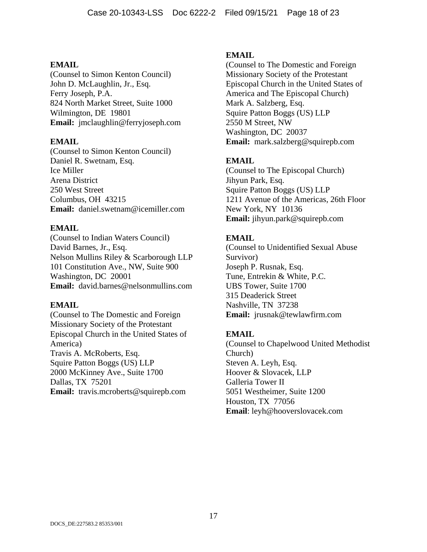(Counsel to Simon Kenton Council) John D. McLaughlin, Jr., Esq. Ferry Joseph, P.A. 824 North Market Street, Suite 1000 Wilmington, DE 19801 **Email:** jmclaughlin@ferryjoseph.com

### **EMAIL**

(Counsel to Simon Kenton Council) Daniel R. Swetnam, Esq. Ice Miller Arena District 250 West Street Columbus, OH 43215 **Email:** daniel.swetnam@icemiller.com

# **EMAIL**

(Counsel to Indian Waters Council) David Barnes, Jr., Esq. Nelson Mullins Riley & Scarborough LLP 101 Constitution Ave., NW, Suite 900 Washington, DC 20001 **Email:** david.barnes@nelsonmullins.com

### **EMAIL**

(Counsel to The Domestic and Foreign Missionary Society of the Protestant Episcopal Church in the United States of America) Travis A. McRoberts, Esq. Squire Patton Boggs (US) LLP 2000 McKinney Ave., Suite 1700 Dallas, TX 75201 **Email:** travis.mcroberts@squirepb.com

# **EMAIL**

(Counsel to The Domestic and Foreign Missionary Society of the Protestant Episcopal Church in the United States of America and The Episcopal Church) Mark A. Salzberg, Esq. Squire Patton Boggs (US) LLP 2550 M Street, NW Washington, DC 20037 **Email:** mark.salzberg@squirepb.com

# **EMAIL**

(Counsel to The Episcopal Church) Jihyun Park, Esq. Squire Patton Boggs (US) LLP 1211 Avenue of the Americas, 26th Floor New York, NY 10136 **Email:** jihyun.park@squirepb.com

# **EMAIL**

(Counsel to Unidentified Sexual Abuse Survivor) Joseph P. Rusnak, Esq. Tune, Entrekin & White, P.C. UBS Tower, Suite 1700 315 Deaderick Street Nashville, TN 37238 **Email:** jrusnak@tewlawfirm.com

# **EMAIL**

(Counsel to Chapelwood United Methodist Church) Steven A. Leyh, Esq. Hoover & Slovacek, LLP Galleria Tower II 5051 Westheimer, Suite 1200 Houston, TX 77056 **Email**: leyh@hooverslovacek.com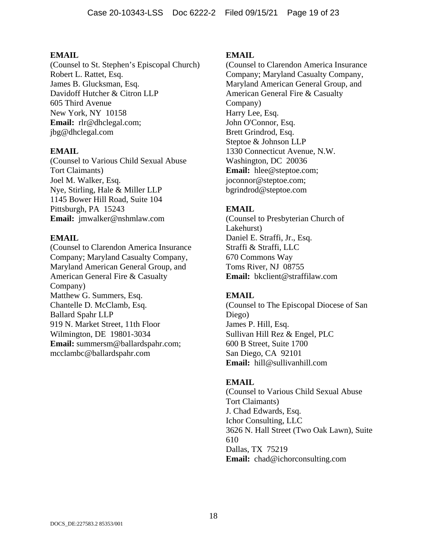(Counsel to St. Stephen's Episcopal Church) Robert L. Rattet, Esq. James B. Glucksman, Esq. Davidoff Hutcher & Citron LLP 605 Third Avenue New York, NY 10158 **Email:** rlr@dhclegal.com; jbg@dhclegal.com

### **EMAIL**

(Counsel to Various Child Sexual Abuse Tort Claimants) Joel M. Walker, Esq. Nye, Stirling, Hale & Miller LLP 1145 Bower Hill Road, Suite 104 Pittsburgh, PA 15243 **Email:** jmwalker@nshmlaw.com

# **EMAIL**

(Counsel to Clarendon America Insurance Company; Maryland Casualty Company, Maryland American General Group, and American General Fire & Casualty Company) Matthew G. Summers, Esq. Chantelle D. McClamb, Esq. Ballard Spahr LLP 919 N. Market Street, 11th Floor Wilmington, DE 19801-3034 **Email:** summersm@ballardspahr.com; mcclambc@ballardspahr.com

# **EMAIL**

(Counsel to Clarendon America Insurance Company; Maryland Casualty Company, Maryland American General Group, and American General Fire & Casualty Company) Harry Lee, Esq. John O'Connor, Esq. Brett Grindrod, Esq. Steptoe & Johnson LLP 1330 Connecticut Avenue, N.W. Washington, DC 20036 **Email:** hlee@steptoe.com; joconnor@steptoe.com; bgrindrod@steptoe.com

# **EMAIL**

(Counsel to Presbyterian Church of Lakehurst) Daniel E. Straffi, Jr., Esq. Straffi & Straffi, LLC 670 Commons Way Toms River, NJ 08755 **Email:** bkclient@straffilaw.com

# **EMAIL**

(Counsel to The Episcopal Diocese of San Diego) James P. Hill, Esq. Sullivan Hill Rez & Engel, PLC 600 B Street, Suite 1700 San Diego, CA 92101 **Email:** hill@sullivanhill.com

# **EMAIL**

(Counsel to Various Child Sexual Abuse Tort Claimants) J. Chad Edwards, Esq. Ichor Consulting, LLC 3626 N. Hall Street (Two Oak Lawn), Suite 610 Dallas, TX 75219 **Email:** chad@ichorconsulting.com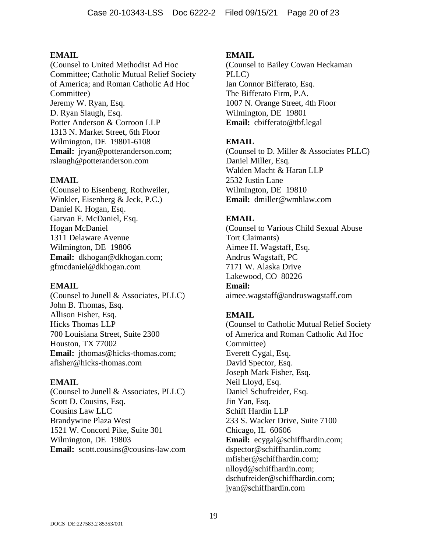(Counsel to United Methodist Ad Hoc Committee; Catholic Mutual Relief Society of America; and Roman Catholic Ad Hoc Committee) Jeremy W. Ryan, Esq. D. Ryan Slaugh, Esq. Potter Anderson & Corroon LLP 1313 N. Market Street, 6th Floor Wilmington, DE 19801-6108 **Email:** jryan@potteranderson.com; rslaugh@potteranderson.com

# **EMAIL**

(Counsel to Eisenbeng, Rothweiler, Winkler, Eisenberg & Jeck, P.C.) Daniel K. Hogan, Esq. Garvan F. McDaniel, Esq. Hogan McDaniel 1311 Delaware Avenue Wilmington, DE 19806 **Email:** dkhogan@dkhogan.com; gfmcdaniel@dkhogan.com

### **EMAIL**

(Counsel to Junell & Associates, PLLC) John B. Thomas, Esq. Allison Fisher, Esq. Hicks Thomas LLP 700 Louisiana Street, Suite 2300 Houston, TX 77002 Email: jthomas@hicks-thomas.com; afisher@hicks-thomas.com

### **EMAIL**

(Counsel to Junell & Associates, PLLC) Scott D. Cousins, Esq. Cousins Law LLC Brandywine Plaza West 1521 W. Concord Pike, Suite 301 Wilmington, DE 19803 **Email:** scott.cousins@cousins-law.com

### **EMAIL**

(Counsel to Bailey Cowan Heckaman PLLC) Ian Connor Bifferato, Esq. The Bifferato Firm, P.A. 1007 N. Orange Street, 4th Floor Wilmington, DE 19801 **Email:** cbifferato@tbf.legal

# **EMAIL**

(Counsel to D. Miller & Associates PLLC) Daniel Miller, Esq. Walden Macht & Haran LLP 2532 Justin Lane Wilmington, DE 19810 **Email:** dmiller@wmhlaw.com

# **EMAIL**

(Counsel to Various Child Sexual Abuse Tort Claimants) Aimee H. Wagstaff, Esq. Andrus Wagstaff, PC 7171 W. Alaska Drive Lakewood, CO 80226 **Email:** aimee.wagstaff@andruswagstaff.com

# **EMAIL**

(Counsel to Catholic Mutual Relief Society of America and Roman Catholic Ad Hoc Committee) Everett Cygal, Esq. David Spector, Esq. Joseph Mark Fisher, Esq. Neil Lloyd, Esq. Daniel Schufreider, Esq. Jin Yan, Esq. Schiff Hardin LLP 233 S. Wacker Drive, Suite 7100 Chicago, IL 60606 **Email:** ecygal@schiffhardin.com; dspector@schiffhardin.com; mfisher@schiffhardin.com; nlloyd@schiffhardin.com; dschufreider@schiffhardin.com; jyan@schiffhardin.com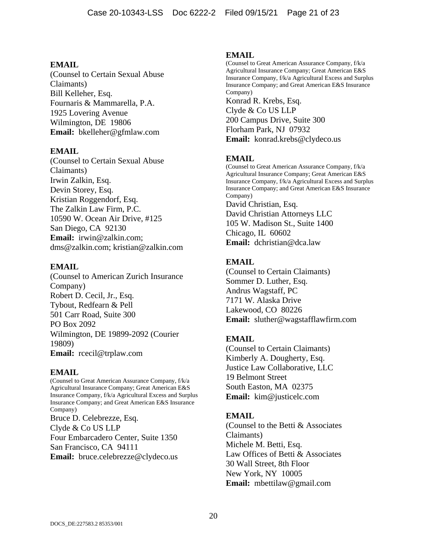(Counsel to Certain Sexual Abuse Claimants) Bill Kelleher, Esq. Fournaris & Mammarella, P.A. 1925 Lovering Avenue Wilmington, DE 19806 **Email:** bkelleher@gfmlaw.com

### **EMAIL**

(Counsel to Certain Sexual Abuse Claimants) Irwin Zalkin, Esq. Devin Storey, Esq. Kristian Roggendorf, Esq. The Zalkin Law Firm, P.C. 10590 W. Ocean Air Drive, #125 San Diego, CA 92130 **Email:** irwin@zalkin.com; dms@zalkin.com; kristian@zalkin.com

### **EMAIL**

(Counsel to American Zurich Insurance Company) Robert D. Cecil, Jr., Esq. Tybout, Redfearn & Pell 501 Carr Road, Suite 300 PO Box 2092 Wilmington, DE 19899-2092 (Courier 19809) **Email:** rcecil@trplaw.com

### **EMAIL**

(Counsel to Great American Assurance Company, f/k/a Agricultural Insurance Company; Great American E&S Insurance Company, f/k/a Agricultural Excess and Surplus Insurance Company; and Great American E&S Insurance Company) Bruce D. Celebrezze, Esq. Clyde & Co US LLP Four Embarcadero Center, Suite 1350 San Francisco, CA 94111 **Email:** bruce.celebrezze@clydeco.us

### **EMAIL**

(Counsel to Great American Assurance Company, f/k/a Agricultural Insurance Company; Great American E&S Insurance Company, f/k/a Agricultural Excess and Surplus Insurance Company; and Great American E&S Insurance Company) Konrad R. Krebs, Esq. Clyde & Co US LLP 200 Campus Drive, Suite 300 Florham Park, NJ 07932 **Email:** konrad.krebs@clydeco.us

# **EMAIL**

(Counsel to Great American Assurance Company, f/k/a Agricultural Insurance Company; Great American E&S Insurance Company, f/k/a Agricultural Excess and Surplus Insurance Company; and Great American E&S Insurance Company) David Christian, Esq. David Christian Attorneys LLC 105 W. Madison St., Suite 1400 Chicago, IL 60602 **Email:** dchristian@dca.law

# **EMAIL**

(Counsel to Certain Claimants) Sommer D. Luther, Esq. Andrus Wagstaff, PC 7171 W. Alaska Drive Lakewood, CO 80226 **Email:** sluther@wagstafflawfirm.com

# **EMAIL**

(Counsel to Certain Claimants) Kimberly A. Dougherty, Esq. Justice Law Collaborative, LLC 19 Belmont Street South Easton, MA 02375 **Email:** kim@justicelc.com

### **EMAIL**

(Counsel to the Betti & Associates Claimants) Michele M. Betti, Esq. Law Offices of Betti & Associates 30 Wall Street, 8th Floor New York, NY 10005 **Email:** mbettilaw@gmail.com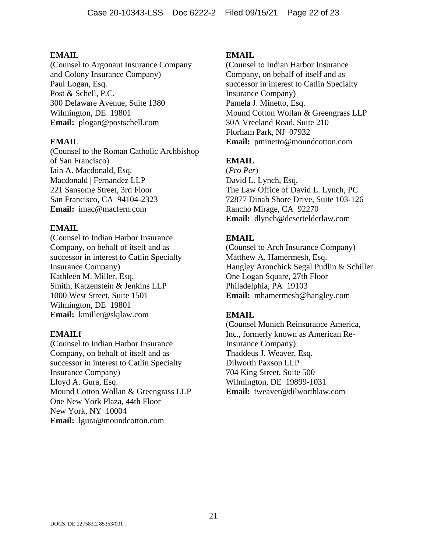(Counsel to Argonaut Insurance Company and Colony Insurance Company) Paul Logan, Esq. Post & Schell, P.C. 300 Delaware Avenue, Suite 1380 Wilmington, DE 19801 **Email:** plogan@postschell.com

# **EMAIL**

(Counsel to the Roman Catholic Archbishop of San Francisco) Iain A. Macdonald, Esq. Macdonald | Fernandez LLP 221 Sansome Street, 3rd Floor San Francisco, CA 94104-2323 **Email:** imac@macfern.com

# **EMAIL**

(Counsel to Indian Harbor Insurance Company, on behalf of itself and as successor in interest to Catlin Specialty Insurance Company) Kathleen M. Miller, Esq. Smith, Katzenstein & Jenkins LLP 1000 West Street, Suite 1501 Wilmington, DE 19801 **Email:** kmiller@skjlaw.com

### **EMAILf**

(Counsel to Indian Harbor Insurance Company, on behalf of itself and as successor in interest to Catlin Specialty Insurance Company) Lloyd A. Gura, Esq. Mound Cotton Wollan & Greengrass LLP One New York Plaza, 44th Floor New York, NY 10004 **Email:** lgura@moundcotton.com

# **EMAIL**

(Counsel to Indian Harbor Insurance Company, on behalf of itself and as successor in interest to Catlin Specialty Insurance Company) Pamela J. Minetto, Esq. Mound Cotton Wollan & Greengrass LLP 30A Vreeland Road, Suite 210 Florham Park, NJ 07932 **Email:** pminetto@moundcotton.com

# **EMAIL**

(*Pro Per*) David L. Lynch, Esq. The Law Office of David L. Lynch, PC 72877 Dinah Shore Drive, Suite 103-126 Rancho Mirage, CA 92270 **Email:** dlynch@desertelderlaw.com

# **EMAIL**

(Counsel to Arch Insurance Company) Matthew A. Hamermesh, Esq. Hangley Aronchick Segal Pudlin & Schiller One Logan Square, 27th Floor Philadelphia, PA 19103 **Email:** mhamermesh@hangley.com

# **EMAIL**

(Counsel Munich Reinsurance America, Inc., formerly known as American Re-Insurance Company) Thaddeus J. Weaver, Esq. Dilworth Paxson LLP 704 King Street, Suite 500 Wilmington, DE 19899-1031 **Email:** tweaver@dilworthlaw.com